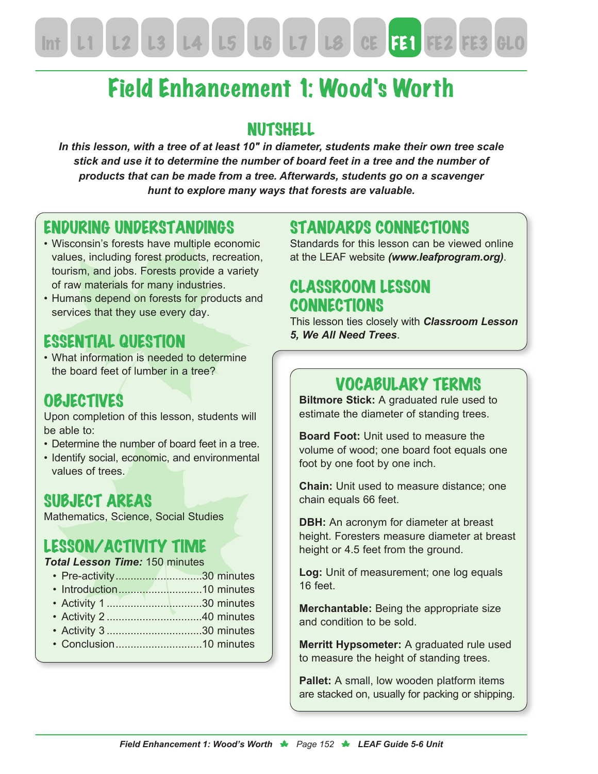# Field Enhancement 1: Wood's Worth

#### **NUTSHELL**

*In this lesson, with a tree of at least 10″ in diameter, students make their own tree scale stick and use it to determine the number of board feet in a tree and the number of products that can be made from a tree. Afterwards, students go on a scavenger hunt to explore many ways that forests are valuable.*

#### ENDURING UNDERSTANDINGS

- Wisconsin's forests have multiple economic values, including forest products, recreation, tourism, and jobs. Forests provide a variety of raw materials for many industries.
- Humans depend on forests for products and services that they use every day.

#### ESSENTIAL QUESTION

• What information is needed to determine the board feet of lumber in a tree?

#### **OBJECTIVES**

Upon completion of this lesson, students will be able to:

- Determine the number of board feet in a tree.
- Identify social, economic, and environmental values of trees.

#### SUBJECT AREAS

Mathematics, Science, Social Studies

#### LESSON/ACTIVITY TIME

#### *Total Lesson Time:* 150 minutes

- Pre-activity.............................30 minutes
- Introduction............................10 minutes
- Activity 1 ................................30 minutes
- Activity 2 ................................40 minutes
- Activity 3 ................................30 minutes
- Conclusion.............................10 minutes

#### STANDARDS CONNECTIONS

Standards for this lesson can be viewed online at the LEAF website *(www.leafprogram.org)*.

#### CLASSROOM LESSON **CONNECTIONS**

This lesson ties closely with *Classroom Lesson 5, We All Need Trees*.

#### VOCABULARY TERMS

**Biltmore Stick:** A graduated rule used to estimate the diameter of standing trees.

**Board Foot:** Unit used to measure the volume of wood; one board foot equals one foot by one foot by one inch.

**Chain:** Unit used to measure distance; one chain equals 66 feet.

**DBH:** An acronym for diameter at breast height. Foresters measure diameter at breast height or 4.5 feet from the ground.

**Log:** Unit of measurement; one log equals 16 feet.

**Merchantable:** Being the appropriate size and condition to be sold.

**Merritt Hypsometer:** A graduated rule used to measure the height of standing trees.

**Pallet:** A small, low wooden platform items are stacked on, usually for packing or shipping.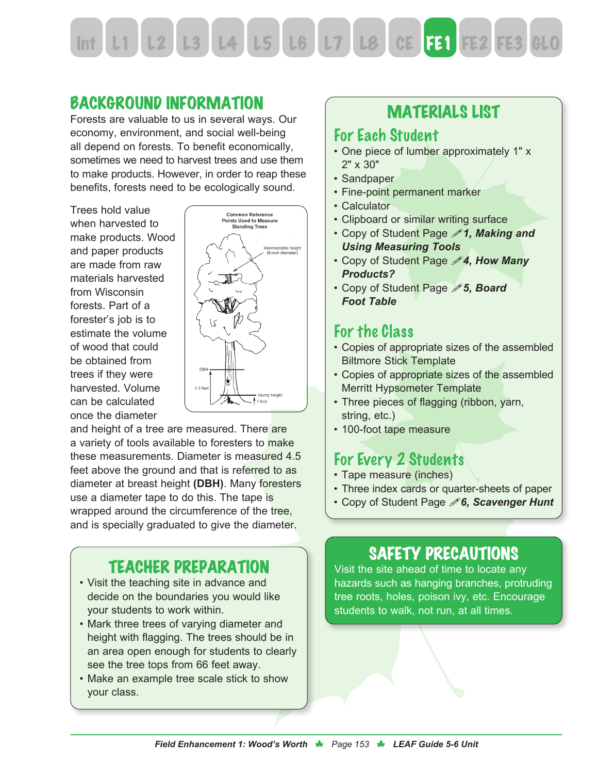Int L1 L2 L3 L4 L5 L6 L7 L8 CE FE1 FE2 FE3

#### BACKGROUND INFORMATION

Forests are valuable to us in several ways. Our economy, environment, and social well-being all depend on forests. To benefit economically, sometimes we need to harvest trees and use them to make products. However, in order to reap these benefits, forests need to be ecologically sound.

Trees hold value when harvested to make products. Wood and paper products are made from raw materials harvested from Wisconsin forests. Part of a forester's job is to estimate the volume of wood that could be obtained from trees if they were harvested. Volume can be calculated once the diameter



and height of a tree are measured. There are a variety of tools available to foresters to make these measurements. Diameter is measured 4.5 feet above the ground and that is referred to as diameter at breast height **(DBH)**. Many foresters use a diameter tape to do this. The tape is wrapped around the circumference of the tree, and is specially graduated to give the diameter.

#### TEACHER PREPARATION

- Visit the teaching site in advance and decide on the boundaries you would like your students to work within.
- Mark three trees of varying diameter and height with flagging. The trees should be in an area open enough for students to clearly see the tree tops from 66 feet away.
- Make an example tree scale stick to show your class.

#### MATERIALS LIST

#### For Each Student

- One piece of lumber approximately 1" x 2" x 30"
- Sandpaper
- Fine-point permanent marker
- Calculator
- Clipboard or similar writing surface
- Copy of Student Page !*1, Making and Using Measuring Tools*
- Copy of Student Page !*4, How Many Products?*
- Copy of Student Page !*5, Board Foot Table*

#### For the Class

- Copies of appropriate sizes of the assembled Biltmore Stick Template
- Copies of appropriate sizes of the assembled Merritt Hypsometer Template
- Three pieces of flagging (ribbon, yarn, string, etc.)
- 100-foot tape measure

#### For Every 2 Students

- Tape measure (inches)
- Three index cards or quarter-sheets of paper
- Copy of Student Page !*6, Scavenger Hunt*

## SAFETY PRECAUTIONS

Visit the site ahead of time to locate any hazards such as hanging branches, protruding tree roots, holes, poison ivy, etc. Encourage students to walk, not run, at all times.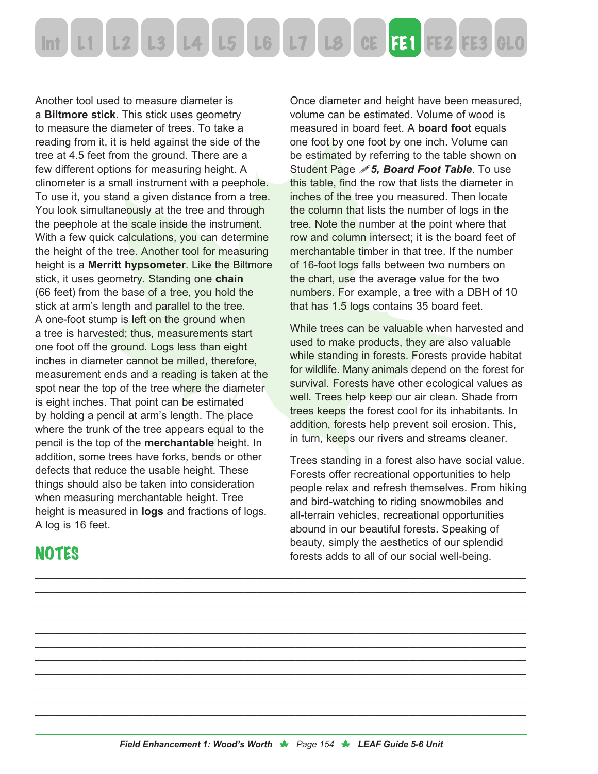

Another tool used to measure diameter is a **Biltmore stick**. This stick uses geometry to measure the diameter of trees. To take a reading from it, it is held against the side of the tree at 4.5 feet from the ground. There are a few different options for measuring height. A clinometer is a small instrument with a peephole. To use it, you stand a given distance from a tree. You look simultaneously at the tree and through the peephole at the scale inside the instrument. With a few quick calculations, you can determine the height of the tree. Another tool for measuring height is a **Merritt hypsometer**. Like the Biltmore stick, it uses geometry. Standing one **chain** (66 feet) from the base of a tree, you hold the stick at arm's length and parallel to the tree. A one-foot stump is left on the ground when a tree is harvested; thus, measurements start one foot off the ground. Logs less than eight inches in diameter cannot be milled, therefore, measurement ends and a reading is taken at the spot near the top of the tree where the diameter is eight inches. That point can be estimated by holding a pencil at arm's length. The place where the trunk of the tree appears equal to the pencil is the top of the **merchantable** height. In addition, some trees have forks, bends or other defects that reduce the usable height. These things should also be taken into consideration when measuring merchantable height. Tree height is measured in **logs** and fractions of logs. A log is 16 feet.

**NOTES** 

Once diameter and height have been measured, volume can be estimated. Volume of wood is measured in board feet. A **board foot** equals one foot by one foot by one inch. Volume can be estimated by referring to the table shown on Student Page */S***, Board Foot Table**. To use this table, find the row that lists the diameter in inches of the tree you measured. Then locate the column that lists the number of logs in the tree. Note the number at the point where that row and column intersect; it is the board feet of merchantable timber in that tree. If the number of 16-foot logs falls between two numbers on the chart, use the average value for the two numbers. For example, a tree with a DBH of 10 that has 1.5 logs contains 35 board feet.

While trees can be valuable when harvested and used to make products, they are also valuable while standing in forests. Forests provide habitat for wildlife. Many animals depend on the forest for survival. Forests have other ecological values as well. Trees help keep our air clean. Shade from trees keeps the forest cool for its inhabitants. In addition, forests help prevent soil erosion. This, in turn, keeps our rivers and streams cleaner.

Trees standing in a forest also have social value. Forests offer recreational opportunities to help people relax and refresh themselves. From hiking and bird-watching to riding snowmobiles and all-terrain vehicles, recreational opportunities abound in our beautiful forests. Speaking of beauty, simply the aesthetics of our splendid forests adds to all of our social well-being.

\_\_\_\_\_\_\_\_\_\_\_\_\_\_\_\_\_\_\_\_\_\_\_\_\_\_\_\_\_\_\_\_\_\_\_\_\_\_\_\_\_\_\_\_\_\_\_\_\_\_\_\_\_\_\_\_\_\_\_\_\_\_\_\_\_\_\_\_\_\_\_\_\_\_\_\_\_\_\_\_\_\_\_\_\_\_\_\_\_\_\_\_\_\_\_\_\_\_\_\_\_\_\_\_\_\_\_\_\_\_\_\_\_ \_\_\_\_\_\_\_\_\_\_\_\_\_\_\_\_\_\_\_\_\_\_\_\_\_\_\_\_\_\_\_\_\_\_\_\_\_\_\_\_\_\_\_\_\_\_\_\_\_\_\_\_\_\_\_\_\_\_\_\_\_\_\_\_\_\_\_\_\_\_\_\_\_\_\_\_\_\_\_\_\_\_\_\_\_\_\_\_\_\_\_\_\_\_\_\_\_\_\_\_\_\_\_\_\_\_\_\_\_\_\_\_\_ \_\_\_\_\_\_\_\_\_\_\_\_\_\_\_\_\_\_\_\_\_\_\_\_\_\_\_\_\_\_\_\_\_\_\_\_\_\_\_\_\_\_\_\_\_\_\_\_\_\_\_\_\_\_\_\_\_\_\_\_\_\_\_\_\_\_\_\_\_\_\_\_\_\_\_\_\_\_\_\_\_\_\_\_\_\_\_\_\_\_\_\_\_\_\_\_\_\_\_\_\_\_\_\_\_\_\_\_\_\_\_\_\_ \_\_\_\_\_\_\_\_\_\_\_\_\_\_\_\_\_\_\_\_\_\_\_\_\_\_\_\_\_\_\_\_\_\_\_\_\_\_\_\_\_\_\_\_\_\_\_\_\_\_\_\_\_\_\_\_\_\_\_\_\_\_\_\_\_\_\_\_\_\_\_\_\_\_\_\_\_\_\_\_\_\_\_\_\_\_\_\_\_\_\_\_\_\_\_\_\_\_\_\_\_\_\_\_\_\_\_\_\_\_\_\_\_ \_\_\_\_\_\_\_\_\_\_\_\_\_\_\_\_\_\_\_\_\_\_\_\_\_\_\_\_\_\_\_\_\_\_\_\_\_\_\_\_\_\_\_\_\_\_\_\_\_\_\_\_\_\_\_\_\_\_\_\_\_\_\_\_\_\_\_\_\_\_\_\_\_\_\_\_\_\_\_\_\_\_\_\_\_\_\_\_\_\_\_\_\_\_\_\_\_\_\_\_\_\_\_\_\_\_\_\_\_\_\_\_\_ \_\_\_\_\_\_\_\_\_\_\_\_\_\_\_\_\_\_\_\_\_\_\_\_\_\_\_\_\_\_\_\_\_\_\_\_\_\_\_\_\_\_\_\_\_\_\_\_\_\_\_\_\_\_\_\_\_\_\_\_\_\_\_\_\_\_\_\_\_\_\_\_\_\_\_\_\_\_\_\_\_\_\_\_\_\_\_\_\_\_\_\_\_\_\_\_\_\_\_\_\_\_\_\_\_\_\_\_\_\_\_\_\_ \_\_\_\_\_\_\_\_\_\_\_\_\_\_\_\_\_\_\_\_\_\_\_\_\_\_\_\_\_\_\_\_\_\_\_\_\_\_\_\_\_\_\_\_\_\_\_\_\_\_\_\_\_\_\_\_\_\_\_\_\_\_\_\_\_\_\_\_\_\_\_\_\_\_\_\_\_\_\_\_\_\_\_\_\_\_\_\_\_\_\_\_\_\_\_\_\_\_\_\_\_\_\_\_\_\_\_\_\_\_\_\_\_ \_\_\_\_\_\_\_\_\_\_\_\_\_\_\_\_\_\_\_\_\_\_\_\_\_\_\_\_\_\_\_\_\_\_\_\_\_\_\_\_\_\_\_\_\_\_\_\_\_\_\_\_\_\_\_\_\_\_\_\_\_\_\_\_\_\_\_\_\_\_\_\_\_\_\_\_\_\_\_\_\_\_\_\_\_\_\_\_\_\_\_\_\_\_\_\_\_\_\_\_\_\_\_\_\_\_\_\_\_\_\_\_\_ \_\_\_\_\_\_\_\_\_\_\_\_\_\_\_\_\_\_\_\_\_\_\_\_\_\_\_\_\_\_\_\_\_\_\_\_\_\_\_\_\_\_\_\_\_\_\_\_\_\_\_\_\_\_\_\_\_\_\_\_\_\_\_\_\_\_\_\_\_\_\_\_\_\_\_\_\_\_\_\_\_\_\_\_\_\_\_\_\_\_\_\_\_\_\_\_\_\_\_\_\_\_\_\_\_\_\_\_\_\_\_\_\_ \_\_\_\_\_\_\_\_\_\_\_\_\_\_\_\_\_\_\_\_\_\_\_\_\_\_\_\_\_\_\_\_\_\_\_\_\_\_\_\_\_\_\_\_\_\_\_\_\_\_\_\_\_\_\_\_\_\_\_\_\_\_\_\_\_\_\_\_\_\_\_\_\_\_\_\_\_\_\_\_\_\_\_\_\_\_\_\_\_\_\_\_\_\_\_\_\_\_\_\_\_\_\_\_\_\_\_\_\_\_\_\_\_ \_\_\_\_\_\_\_\_\_\_\_\_\_\_\_\_\_\_\_\_\_\_\_\_\_\_\_\_\_\_\_\_\_\_\_\_\_\_\_\_\_\_\_\_\_\_\_\_\_\_\_\_\_\_\_\_\_\_\_\_\_\_\_\_\_\_\_\_\_\_\_\_\_\_\_\_\_\_\_\_\_\_\_\_\_\_\_\_\_\_\_\_\_\_\_\_\_\_\_\_\_\_\_\_\_\_\_\_\_\_\_\_\_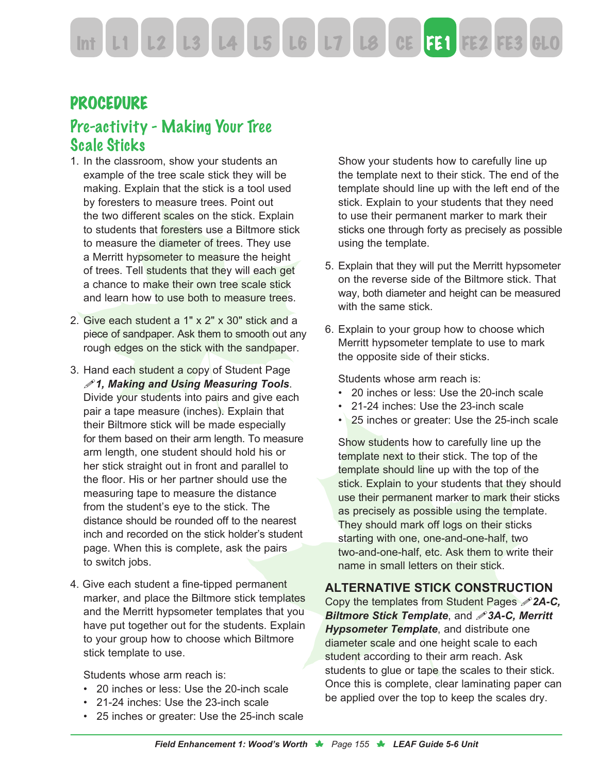Int L1 L2 L3 L4 L5 L6 L7 L8 CE FE1 FE2 FE3

#### PROCEDURE

#### Pre-activity - Making Your Tree Scale Sticks

- 1. In the classroom, show your students an example of the tree scale stick they will be making. Explain that the stick is a tool used by foresters to measure trees. Point out the two different scales on the stick. Explain to students that foresters use a Biltmore stick to measure the diameter of trees. They use a Merritt hypsometer to measure the height of trees. Tell students that they will each get a chance to make their own tree scale stick and learn how to use both to measure trees.
- 2. Give each student a 1" x 2" x 30" stick and a piece of sandpaper. Ask them to smooth out any rough edges on the stick with the sandpaper.
- 3. Hand each student a copy of Student Page !*1, Making and Using Measuring Tools*. Divide your students into pairs and give each pair a tape measure (inches). Explain that their Biltmore stick will be made especially for them based on their arm length. To measure arm length, one student should hold his or her stick straight out in front and parallel to the floor. His or her partner should use the measuring tape to measure the distance from the student's eye to the stick. The distance should be rounded off to the nearest inch and recorded on the stick holder's student page. When this is complete, ask the pairs to switch jobs.
- 4. Give each student a fine-tipped permanent marker, and place the Biltmore stick templates and the Merritt hypsometer templates that you have put together out for the students. Explain to your group how to choose which Biltmore stick template to use.

Students whose arm reach is:

- 20 inches or less: Use the 20-inch scale
- 21-24 inches: Use the 23-inch scale
- 25 inches or greater: Use the 25-inch scale

Show your students how to carefully line up the template next to their stick. The end of the template should line up with the left end of the stick. Explain to your students that they need to use their permanent marker to mark their sticks one through forty as precisely as possible using the template.

- 5. Explain that they will put the Merritt hypsometer on the reverse side of the Biltmore stick. That way, both diameter and height can be measured with the same stick.
- 6. Explain to your group how to choose which Merritt hypsometer template to use to mark the opposite side of their sticks.

Students whose arm reach is:

- 20 inches or less: Use the 20-inch scale
- 21-24 inches: Use the 23-inch scale
- 25 inches or greater: Use the 25-inch scale

Show students how to carefully line up the template next to their stick. The top of the template should line up with the top of the stick. Explain to your students that they should use their permanent marker to mark their sticks as precisely as possible using the template. They should mark off logs on their sticks starting with one, one-and-one-half, two two-and-one-half, etc. Ask them to write their name in small letters on their stick.

#### **ALTERNATIVE STICK CONSTRUCTION**

Copy the templates from Student Pages !*2A-C, Biltmore Stick Template*, and !*3A-C, Merritt Hypsometer Template*, and distribute one diameter scale and one height scale to each student according to their arm reach. Ask students to glue or tape the scales to their stick. Once this is complete, clear laminating paper can be applied over the top to keep the scales dry.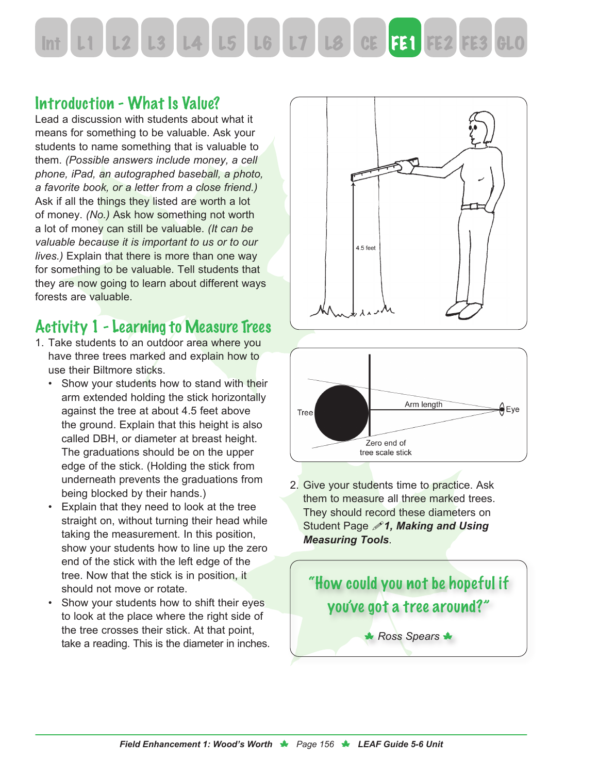# L3 L4 L5 L6 L7 L8 CE FE1 FE2 FE3

#### Introduction - What Is Value?

Lead a discussion with students about what it means for something to be valuable. Ask your students to name something that is valuable to them. *(Possible answers include money, a cell phone, iPad, an autographed baseball, a photo, a favorite book, or a letter from a close friend.)*  Ask if all the things they listed are worth a lot of money. *(No.)* Ask how something not worth a lot of money can still be valuable. *(It can be valuable because it is important to us or to our lives.)* Explain that there is more than one way for something to be valuable. Tell students that they are now going to learn about different ways forests are valuable.

#### Activity 1 - Learning to Measure Trees

- 1. Take students to an outdoor area where you have three trees marked and explain how to use their Biltmore sticks.
	- Show your students how to stand with their arm extended holding the stick horizontally against the tree at about 4.5 feet above the ground. Explain that this height is also called DBH, or diameter at breast height. The graduations should be on the upper edge of the stick. (Holding the stick from underneath prevents the graduations from being blocked by their hands.)
	- Explain that they need to look at the tree straight on, without turning their head while taking the measurement. In this position, show your students how to line up the zero end of the stick with the left edge of the tree. Now that the stick is in position, it should not move or rotate.
	- Show your students how to shift their eyes to look at the place where the right side of the tree crosses their stick. At that point, take a reading. This is the diameter in inches.





2. Give your students time to practice. Ask them to measure all three marked trees. They should record these diameters on Student Page !*1, Making and Using Measuring Tools*.

# "How could you not be hopeful if you've got a tree around?" **\*** Ross Spears **\***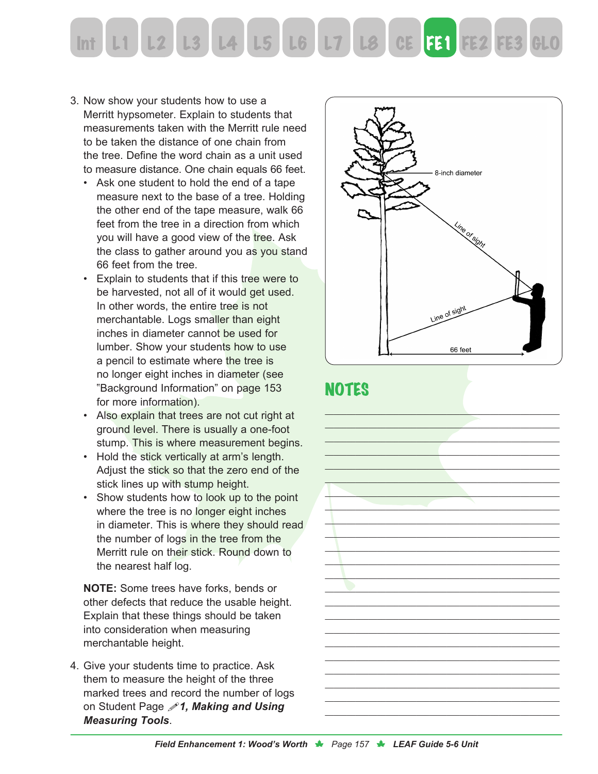

- 3. Now show your students how to use a Merritt hypsometer. Explain to students that measurements taken with the Merritt rule need to be taken the distance of one chain from the tree. Define the word chain as a unit used to measure distance. One chain equals 66 feet.
	- Ask one student to hold the end of a tape measure next to the base of a tree. Holding the other end of the tape measure, walk 66 feet from the tree in a direction from which you will have a good view of the tree. Ask the class to gather around you as you stand 66 feet from the tree.
	- Explain to students that if this tree were to be harvested, not all of it would get used. In other words, the entire tree is not merchantable. Logs smaller than eight inches in diameter cannot be used for lumber. Show your students how to use a pencil to estimate where the tree is no longer eight inches in diameter (see "Background Information" on page 153 for more information).
	- Also explain that trees are not cut right at ground level. There is usually a one-foot stump. This is where measurement begins.
	- Hold the stick vertically at arm's length. Adjust the stick so that the zero end of the stick lines up with stump height.
	- Show students how to look up to the point where the tree is no longer eight inches in diameter. This is where they should read the number of logs in the tree from the Merritt rule on their stick. Round down to the nearest half log.

**NOTE:** Some trees have forks, bends or other defects that reduce the usable height. Explain that these things should be taken into consideration when measuring merchantable height.

4. Give your students time to practice. Ask them to measure the height of the three marked trees and record the number of logs on Student Page !*1, Making and Using Measuring Tools*.



#### **NOTES**

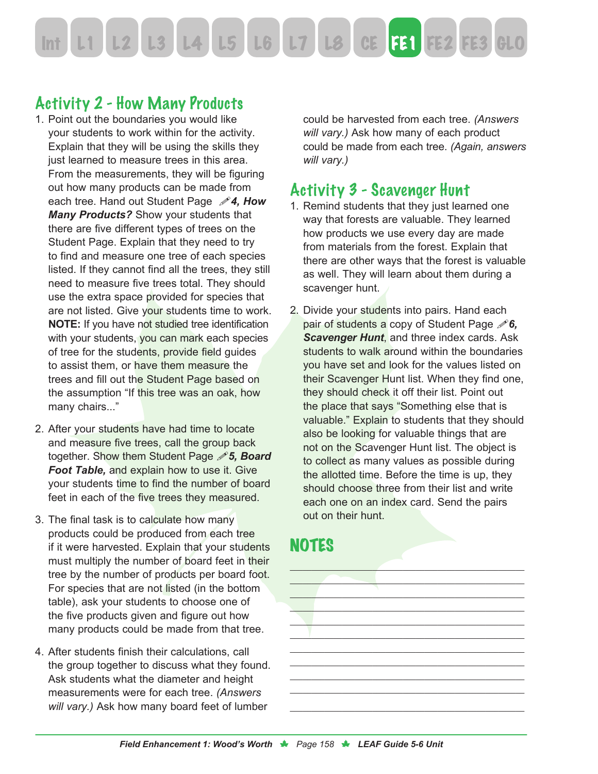

#### Activity 2 - How Many Products

- 1. Point out the boundaries you would like your students to work within for the activity. Explain that they will be using the skills they just learned to measure trees in this area. From the measurements, they will be figuring out how many products can be made from each tree. Hand out Student Page !*4, How Many Products?* Show your students that there are five different types of trees on the Student Page. Explain that they need to try to find and measure one tree of each species listed. If they cannot find all the trees, they still need to measure five trees total. They should use the extra space provided for species that are not listed. Give your students time to work. **NOTE:** If you have not studied tree identification with your students, you can mark each species of tree for the students, provide field guides to assist them, or have them measure the trees and fill out the Student Page based on the assumption "If this tree was an oak, how many chairs..."
- 2. After your students have had time to locate and measure five trees, call the group back together. Show them Student Page !*5, Board Foot Table,* and explain how to use it. Give your students time to find the number of board feet in each of the five trees they measured.
- 3. The final task is to calculate how many products could be produced from each tree if it were harvested. Explain that your students must multiply the number of board feet in their tree by the number of products per board foot. For species that are not listed (in the bottom table), ask your students to choose one of the five products given and figure out how many products could be made from that tree.
- 4. After students finish their calculations, call the group together to discuss what they found. Ask students what the diameter and height measurements were for each tree. *(Answers will vary.)* Ask how many board feet of lumber

could be harvested from each tree. *(Answers will vary.)* Ask how many of each product could be made from each tree. *(Again, answers will vary.)*

#### Activity 3 - Scavenger Hunt

- 1. Remind students that they just learned one way that forests are valuable. They learned how products we use every day are made from materials from the forest. Explain that there are other ways that the forest is valuable as well. They will learn about them during a scavenger hunt.
- 2. Divide your students into pairs. Hand each pair of students a copy of Student Page *<i>f***6**, *Scavenger Hunt*, and three index cards. Ask students to walk around within the boundaries you have set and look for the values listed on their Scavenger Hunt list. When they find one, they should check it off their list. Point out the place that says "Something else that is valuable." Explain to students that they should also be looking for valuable things that are not on the Scavenger Hunt list. The object is to collect as many values as possible during the allotted time. Before the time is up, they should choose three from their list and write each one on an index card. Send the pairs out on their hunt.

#### **NOTES**

 $\mathcal{L}_\text{max} = \mathcal{L}_\text{max} = \mathcal{L}_\text{max} = \mathcal{L}_\text{max} = \mathcal{L}_\text{max} = \mathcal{L}_\text{max} = \mathcal{L}_\text{max} = \mathcal{L}_\text{max} = \mathcal{L}_\text{max} = \mathcal{L}_\text{max} = \mathcal{L}_\text{max} = \mathcal{L}_\text{max} = \mathcal{L}_\text{max} = \mathcal{L}_\text{max} = \mathcal{L}_\text{max} = \mathcal{L}_\text{max} = \mathcal{L}_\text{max} = \mathcal{L}_\text{max} = \mathcal{$ \_\_\_\_\_\_\_\_\_\_\_\_\_\_\_\_\_\_\_\_\_\_\_\_\_\_\_\_\_\_\_\_\_\_\_\_\_\_\_\_\_\_\_\_\_\_\_\_\_\_\_\_\_\_ \_\_\_\_\_\_\_\_\_\_\_\_\_\_\_\_\_\_\_\_\_\_\_\_\_\_\_\_\_\_\_\_\_\_\_\_\_\_\_\_\_\_\_\_\_\_\_\_\_\_\_\_\_\_  $\mathcal{L}_\mathcal{L}$  , and the contribution of the contribution of the contribution of the contribution of the contribution of the contribution of the contribution of the contribution of the contribution of the contribution of \_\_\_\_\_\_\_\_\_\_\_\_\_\_\_\_\_\_\_\_\_\_\_\_\_\_\_\_\_\_\_\_\_\_\_\_\_\_\_\_\_\_\_\_\_\_\_\_\_\_\_\_\_\_ \_\_\_\_\_\_\_\_\_\_\_\_\_\_\_\_\_\_\_\_\_\_\_\_\_\_\_\_\_\_\_\_\_\_\_\_\_\_\_\_\_\_\_\_\_\_\_\_\_\_\_\_\_\_  $\_$  . The set of the set of the set of the set of the set of the set of the set of the set of the set of the set of the set of the set of the set of the set of the set of the set of the set of the set of the set of the se \_\_\_\_\_\_\_\_\_\_\_\_\_\_\_\_\_\_\_\_\_\_\_\_\_\_\_\_\_\_\_\_\_\_\_\_\_\_\_\_\_\_\_\_\_\_\_\_\_\_\_\_\_\_ \_\_\_\_\_\_\_\_\_\_\_\_\_\_\_\_\_\_\_\_\_\_\_\_\_\_\_\_\_\_\_\_\_\_\_\_\_\_\_\_\_\_\_\_\_\_\_\_\_\_\_\_\_\_  $\_$  . The set of the set of the set of the set of the set of the set of the set of the set of the set of the set of the set of the set of the set of the set of the set of the set of the set of the set of the set of the se

 $\mathcal{L}_\text{max}$  , and the contract of the contract of the contract of the contract of the contract of the contract of the contract of the contract of the contract of the contract of the contract of the contract of the contr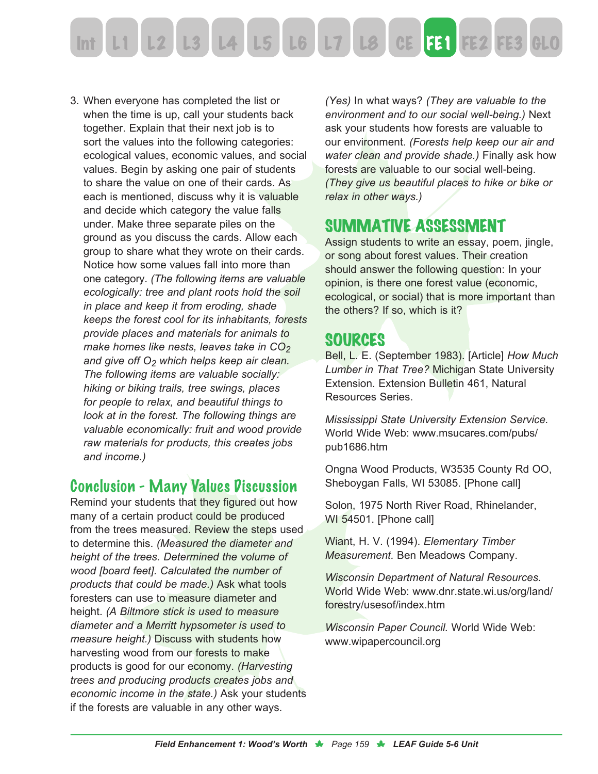

3. When everyone has completed the list or when the time is up, call your students back together. Explain that their next job is to sort the values into the following categories: ecological values, economic values, and social values. Begin by asking one pair of students to share the value on one of their cards. As each is mentioned, discuss why it is valuable and decide which category the value falls under. Make three separate piles on the ground as you discuss the cards. Allow each group to share what they wrote on their cards. Notice how some values fall into more than one category. *(The following items are valuable ecologically: tree and plant roots hold the soil in place and keep it from eroding, shade keeps the forest cool for its inhabitants, forests provide places and materials for animals to make homes like nests, leaves take in CO<sub>2</sub> and give off O2 which helps keep air clean. The following items are valuable socially: hiking or biking trails, tree swings, places for people to relax, and beautiful things to look at in the forest. The following things are valuable economically: fruit and wood provide raw materials for products, this creates jobs and income.)*

#### Conclusion - Many Values Discussion

Remind your students that they figured out how many of a certain product could be produced from the trees measured. Review the steps used to determine this. *(Measured the diameter and height of the trees. Determined the volume of wood [board feet]. Calculated the number of products that could be made.)* Ask what tools foresters can use to measure diameter and height. *(A Biltmore stick is used to measure diameter and a Merritt hypsometer is used to measure height.)* Discuss with students how harvesting wood from our forests to make products is good for our economy. *(Harvesting trees and producing products creates jobs and economic income in the state.)* Ask your students if the forests are valuable in any other ways.

*(Yes)* In what ways? *(They are valuable to the environment and to our social well-being.)* Next ask your students how forests are valuable to our environment. *(Forests help keep our air and water clean and provide shade.)* Finally ask how forests are valuable to our social well-being. *(They give us beautiful places to hike or bike or relax in other ways.)*

#### SUMMATIVE ASSESSMENT

Assign students to write an essay, poem, jingle, or song about forest values. Their creation should answer the following question: In your opinion, is there one forest value (economic, ecological, or social) that is more important than the others? If so, which is it?

#### SOURCES

Bell, L. E. (September 1983). [Article] *How Much Lumber in That Tree?* Michigan State University Extension. Extension Bulletin 461, Natural Resources Series.

*Mississippi State University Extension Service.* World Wide Web: www.msucares.com/pubs/ pub1686.htm

Ongna Wood Products, W3535 County Rd OO, Sheboygan Falls, WI 53085. [Phone call]

Solon, 1975 North River Road, Rhinelander, WI 54501. [Phone call]

Wiant, H. V. (1994). *Elementary Timber Measurement.* Ben Meadows Company.

*Wisconsin Department of Natural Resources.*  World Wide Web: www.dnr.state.wi.us/org/land/ forestry/usesof/index.htm

*Wisconsin Paper Council.* World Wide Web: www.wipapercouncil.org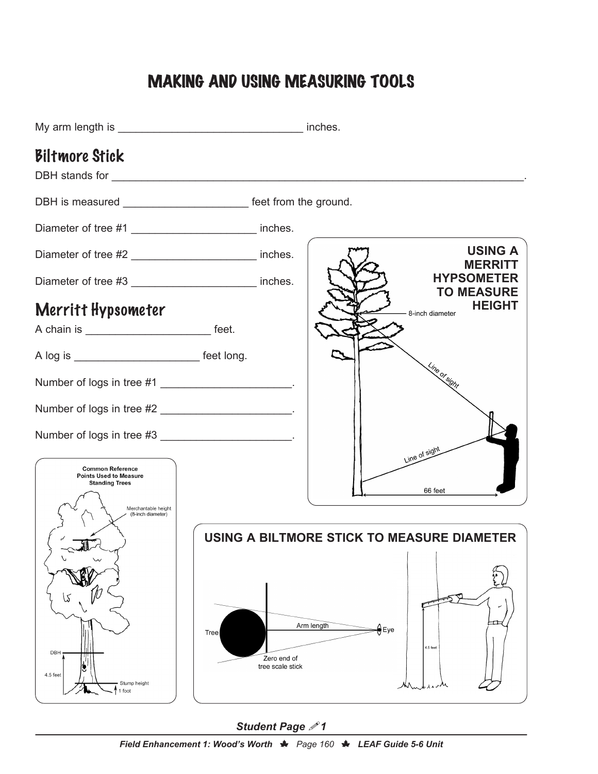## MAKING AND USING MEASURING TOOLS



#### *Student Page* !*1*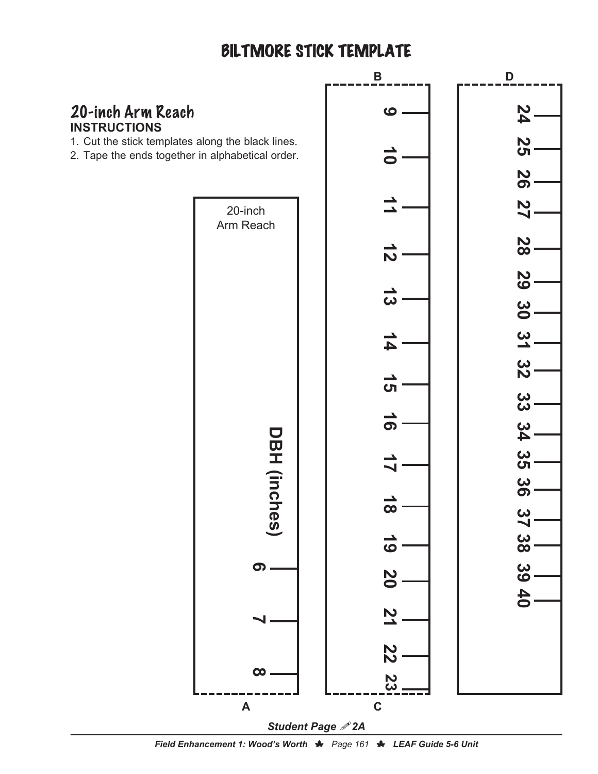#### BILTMORE STICK TEMPLATE



*Field Enhancement 1: Wood's Worth*  $\bigstar$  *Page 161*  $\bigstar$  *LEAF Guide 5-6 Unit*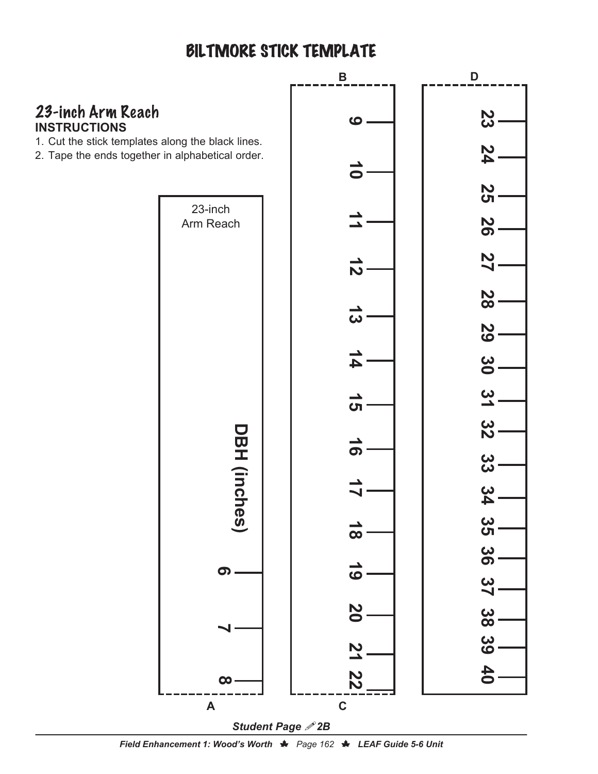## BILTMORE STICK TEMPLATE



*Field Enhancement 1: Wood's Worth ♦ Page 162 ♦ LEAF Guide 5-6 Unit*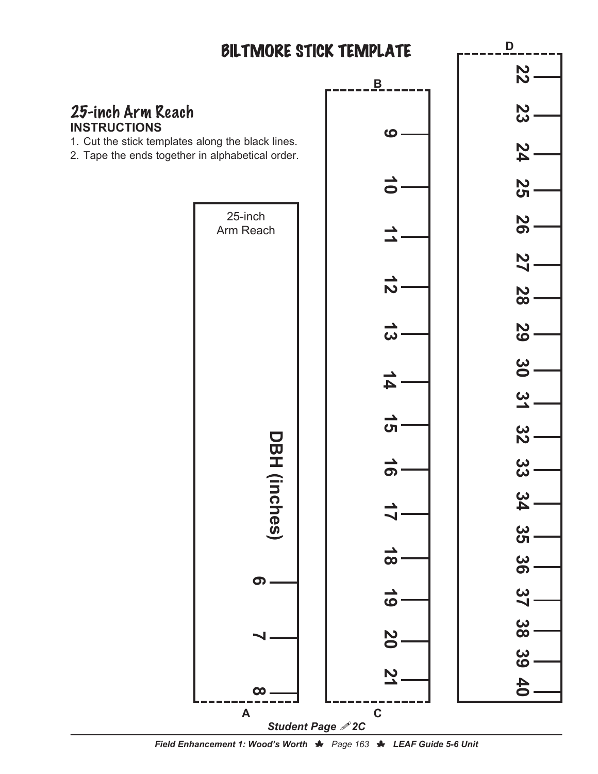

*Field Enhancement 1: Wood's Worth*  $\bigstar$  *Page 163*  $\bigstar$  *LEAF Guide 5-6 Unit*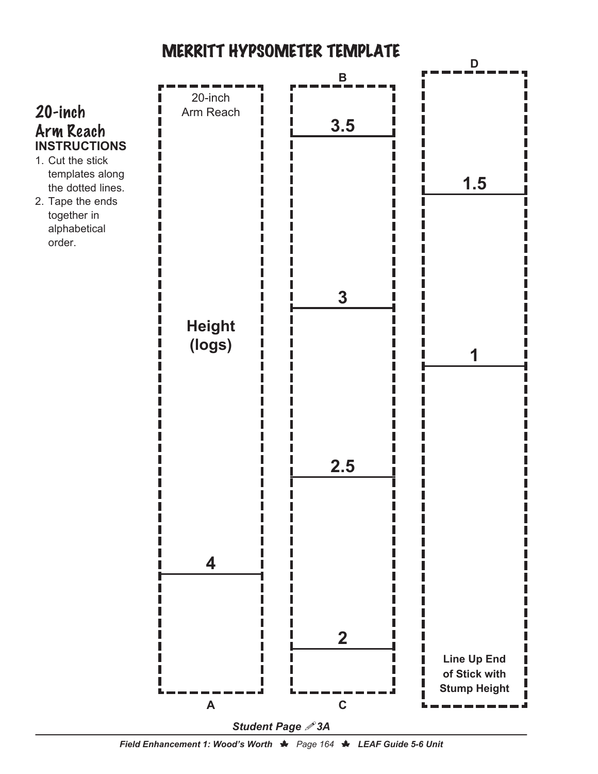

*Field Enhancement 1: Wood's Worth* N<sub></sub> *Page 164* **N** *LEAF Guide 5-6 Unit*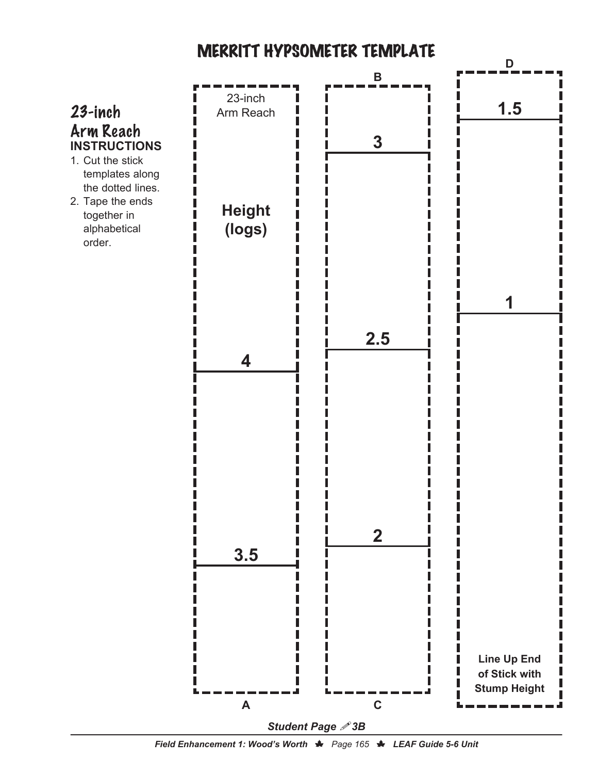

*Field Enhancement 1: Wood's Worth*  $\bigstar$  *Page 165*  $\bigstar$  *LEAF Guide 5-6 Unit*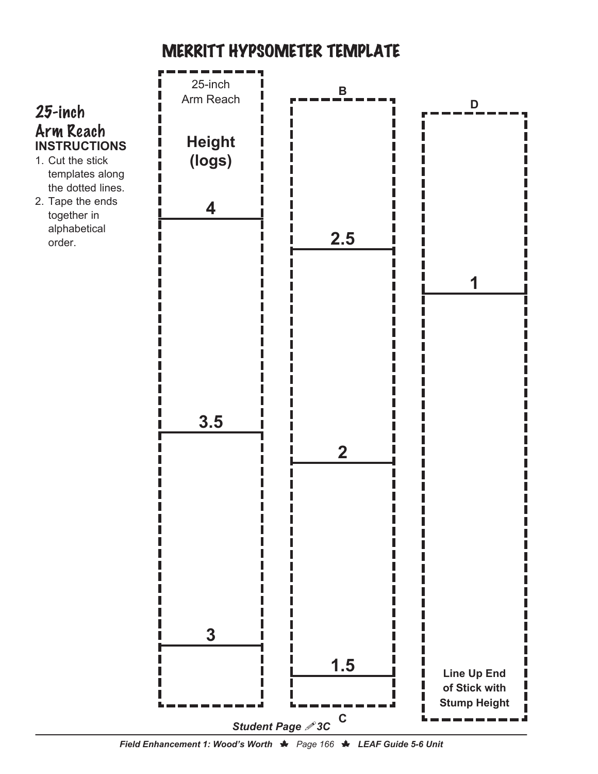

*Field Enhancement 1: Wood's Worth* N<sub></sub> *Page 166* **N** *LEAF Guide 5-6 Unit*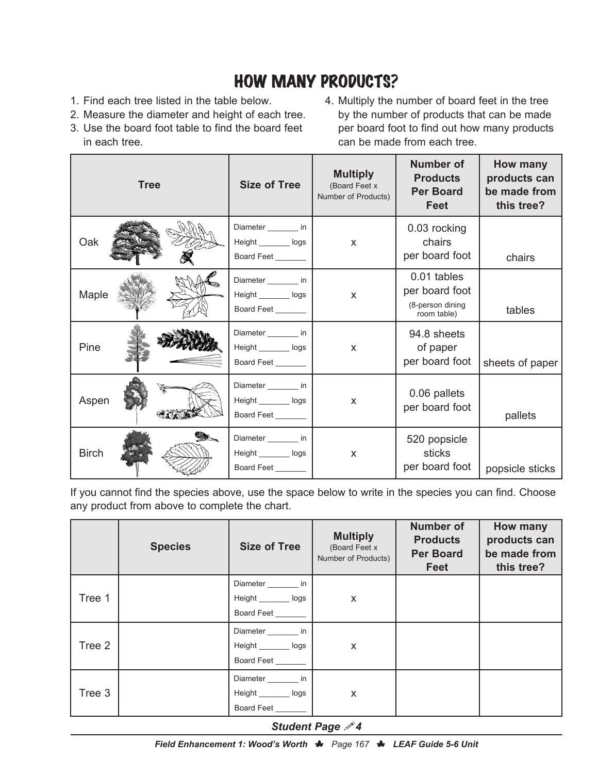### HOW MANY PRODUCTS?

- 1. Find each tree listed in the table below.
- 2. Measure the diameter and height of each tree.
- 3. Use the board foot table to find the board feet in each tree.
- 4. Multiply the number of board feet in the tree by the number of products that can be made per board foot to find out how many products can be made from each tree.

|              | <b>Tree</b> | <b>Size of Tree</b>                                          | <b>Multiply</b><br>(Board Feet x<br>Number of Products) | <b>Number of</b><br><b>Products</b><br><b>Per Board</b><br><b>Feet</b> | How many<br>products can<br>be made from<br>this tree? |
|--------------|-------------|--------------------------------------------------------------|---------------------------------------------------------|------------------------------------------------------------------------|--------------------------------------------------------|
| Oak          |             | Diameter ________ in<br>Height _________ logs<br>Board Feet  | X                                                       | 0.03 rocking<br>chairs<br>per board foot                               | chairs                                                 |
| Maple        |             | Diameter _________ in<br>Height _________ logs<br>Board Feet | $\pmb{\times}$                                          | 0.01 tables<br>per board foot<br>(8-person dining<br>room table)       | tables                                                 |
| Pine         |             | Diameter ________ in<br>Height _________ logs<br>Board Feet  | X                                                       | 94.8 sheets<br>of paper<br>per board foot                              | sheets of paper                                        |
| Aspen        |             | Diameter ________ in<br>Height _________ logs<br>Board Feet  | X                                                       | 0.06 pallets<br>per board foot                                         | pallets                                                |
| <b>Birch</b> |             | Diameter ________ in<br>Height _________ logs<br>Board Feet  | X                                                       | 520 popsicle<br>sticks<br>per board foot                               | popsicle sticks                                        |

If you cannot find the species above, use the space below to write in the species you can find. Choose any product from above to complete the chart.

|        | <b>Species</b> | <b>Size of Tree</b>                                                | <b>Multiply</b><br>(Board Feet x<br>Number of Products) | <b>Number of</b><br><b>Products</b><br><b>Per Board</b><br>Feet | How many<br>products can<br>be made from<br>this tree? |
|--------|----------------|--------------------------------------------------------------------|---------------------------------------------------------|-----------------------------------------------------------------|--------------------------------------------------------|
| Tree 1 |                | Diameter ________ in<br>Height _________ logs<br>Board Feet        | X                                                       |                                                                 |                                                        |
| Tree 2 |                | Diameter ________ in<br>Height _________ logs<br>Board Feet        | X                                                       |                                                                 |                                                        |
| Tree 3 |                | Diameter ________ in<br>Height _________ logs<br><b>Board Feet</b> | X                                                       |                                                                 |                                                        |

#### **Student Page**  $\mathscr{P}4$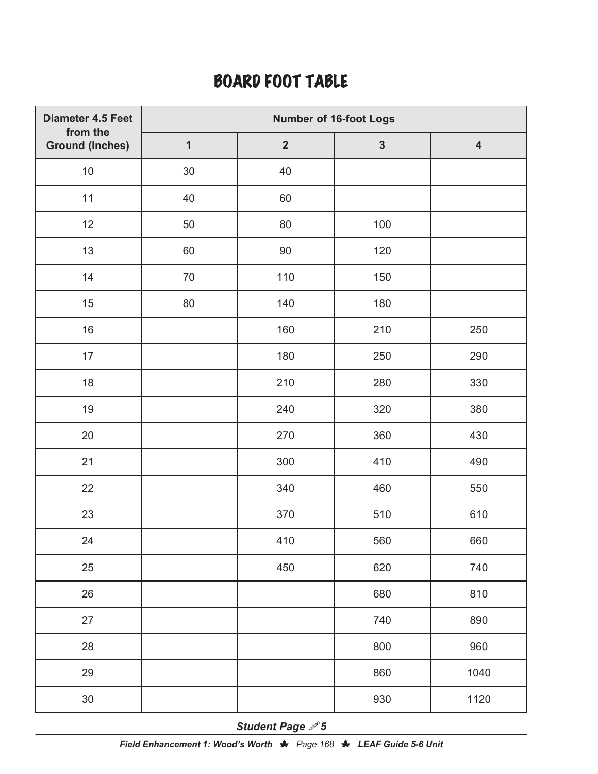#### BOARD FOOT TABLE

| Diameter 4.5 Feet                  | <b>Number of 16-foot Logs</b> |                |              |                         |  |  |
|------------------------------------|-------------------------------|----------------|--------------|-------------------------|--|--|
| from the<br><b>Ground (Inches)</b> | $\mathbf{1}$                  | $\overline{2}$ | $\mathbf{3}$ | $\overline{\mathbf{4}}$ |  |  |
| $10\,$                             | $30\,$                        | 40             |              |                         |  |  |
| 11                                 | 40                            | 60             |              |                         |  |  |
| 12                                 | 50                            | $80\,$         | 100          |                         |  |  |
| 13                                 | 60                            | 90             | 120          |                         |  |  |
| 14                                 | 70                            | 110            | 150          |                         |  |  |
| 15                                 | 80                            | 140            | 180          |                         |  |  |
| 16                                 |                               | 160            | 210          | 250                     |  |  |
| 17                                 |                               | 180            | 250          | 290                     |  |  |
| 18                                 |                               | 210            | 280          | 330                     |  |  |
| $19$                               |                               | 240            | 320          | 380                     |  |  |
| 20                                 |                               | 270            | 360          | 430                     |  |  |
| 21                                 |                               | 300            | 410          | 490                     |  |  |
| 22                                 |                               | 340            | 460          | 550                     |  |  |
| 23                                 |                               | 370            | 510          | 610                     |  |  |
| 24                                 |                               | 410            | 560          | 660                     |  |  |
| 25                                 |                               | 450            | 620          | 740                     |  |  |
| 26                                 |                               |                | 680          | 810                     |  |  |
| 27                                 |                               |                | 740          | 890                     |  |  |
| 28                                 |                               |                | 800          | 960                     |  |  |
| 29                                 |                               |                | 860          | 1040                    |  |  |
| $30\,$                             |                               |                | 930          | 1120                    |  |  |